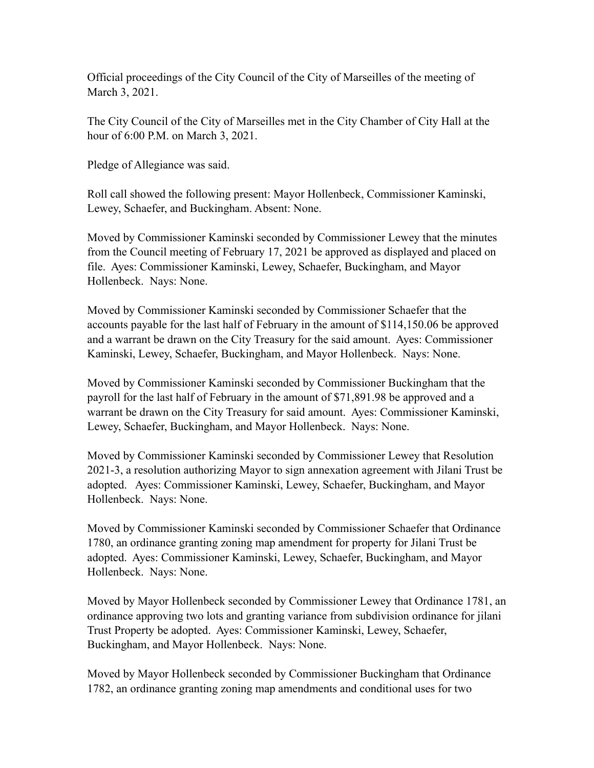Official proceedings of the City Council of the City of Marseilles of the meeting of March 3, 2021.

The City Council of the City of Marseilles met in the City Chamber of City Hall at the hour of 6:00 P.M. on March 3, 2021.

Pledge of Allegiance was said.

Roll call showed the following present: Mayor Hollenbeck, Commissioner Kaminski, Lewey, Schaefer, and Buckingham. Absent: None.

Moved by Commissioner Kaminski seconded by Commissioner Lewey that the minutes from the Council meeting of February 17, 2021 be approved as displayed and placed on file. Ayes: Commissioner Kaminski, Lewey, Schaefer, Buckingham, and Mayor Hollenbeck. Nays: None.

Moved by Commissioner Kaminski seconded by Commissioner Schaefer that the accounts payable for the last half of February in the amount of \$114,150.06 be approved and a warrant be drawn on the City Treasury for the said amount. Ayes: Commissioner Kaminski, Lewey, Schaefer, Buckingham, and Mayor Hollenbeck. Nays: None.

Moved by Commissioner Kaminski seconded by Commissioner Buckingham that the payroll for the last half of February in the amount of \$71,891.98 be approved and a warrant be drawn on the City Treasury for said amount. Ayes: Commissioner Kaminski, Lewey, Schaefer, Buckingham, and Mayor Hollenbeck. Nays: None.

Moved by Commissioner Kaminski seconded by Commissioner Lewey that Resolution 2021-3, a resolution authorizing Mayor to sign annexation agreement with Jilani Trust be adopted. Ayes: Commissioner Kaminski, Lewey, Schaefer, Buckingham, and Mayor Hollenbeck. Nays: None.

Moved by Commissioner Kaminski seconded by Commissioner Schaefer that Ordinance 1780, an ordinance granting zoning map amendment for property for Jilani Trust be adopted. Ayes: Commissioner Kaminski, Lewey, Schaefer, Buckingham, and Mayor Hollenbeck. Nays: None.

Moved by Mayor Hollenbeck seconded by Commissioner Lewey that Ordinance 1781, an ordinance approving two lots and granting variance from subdivision ordinance for jilani Trust Property be adopted. Ayes: Commissioner Kaminski, Lewey, Schaefer, Buckingham, and Mayor Hollenbeck. Nays: None.

Moved by Mayor Hollenbeck seconded by Commissioner Buckingham that Ordinance 1782, an ordinance granting zoning map amendments and conditional uses for two